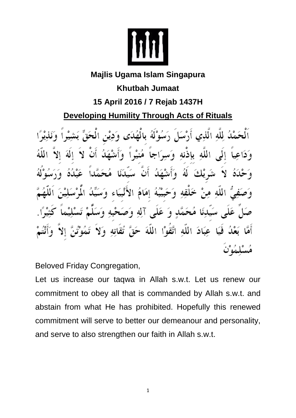

## **Majlis Ugama Islam Singapura Khutbah Jumaat 15 April 2016 / 7 Rejab 1437H Developing Humility Through Acts of Rituals**

لَّٰ لِلَّٰهِ الَّذِي أَرْسَلَ رَسُوْلَهُ بِالْهُدَى وَدِيْنِ وَاجاً مُنيْواً وَأَه الله بإذنه وَب ەككاغا الم لهُ ٽلئ بَهَ إمَامَ مُحَمَّدٍ وَ عَلَى آلِهِ وَصَحْبَهِ سَيدنَا عِبَادَ اللَّهِ اتَّقَوْا اللَّهَ حَقَّ تق فما

Beloved Friday Congregation,

Let us increase our taqwa in Allah s.w.t. Let us renew our commitment to obey all that is commanded by Allah s.w.t. and abstain from what He has prohibited. Hopefully this renewed commitment will serve to better our demeanour and personality, and serve to also strengthen our faith in Allah s.w.t.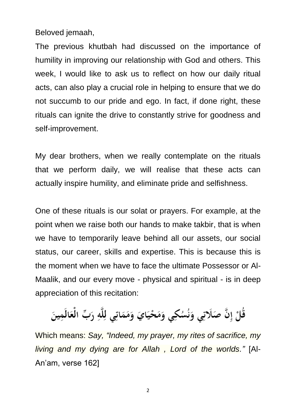Beloved jemaah,

The previous khutbah had discussed on the importance of humility in improving our relationship with God and others. This week, I would like to ask us to reflect on how our daily ritual acts, can also play a crucial role in helping to ensure that we do not succumb to our pride and ego. In fact, if done right, these rituals can ignite the drive to constantly strive for goodness and self-improvement.

My dear brothers, when we really contemplate on the rituals that we perform daily, we will realise that these acts can actually inspire humility, and eliminate pride and selfishness.

One of these rituals is our solat or prayers. For example, at the point when we raise both our hands to make takbir, that is when we have to temporarily leave behind all our assets, our social status, our career, skills and expertise. This is because this is the moment when we have to face the ultimate Possessor or Al-Maalik, and our every move - physical and spiritual - is in deep appreciation of this recitation:

قُلْ إِنَّ صَلَاتِي وَنُسُكِي وَمَحْيَايَ وَمَمَاتِي لِلَّهِ رَبِّ الْعَالَمِينَ

Which means: *Say, "Indeed, my prayer, my rites of sacrifice, my living and my dying are for Allah , Lord of the worlds."* [Al-An'am, verse 162]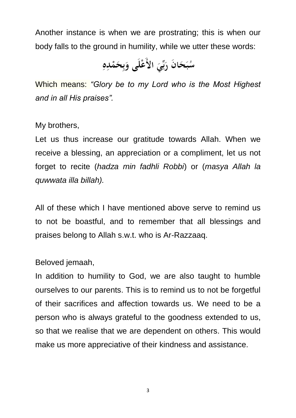Another instance is when we are prostrating; this is when our body falls to the ground in humility, while we utter these words:

سُبَحَانَ رَبِّيَ الأَعْلَى وَبِحَمْدِهِ

Which means: *"Glory be to my Lord who is the Most Highest and in all His praises".* 

## My brothers,

Let us thus increase our gratitude towards Allah. When we receive a blessing, an appreciation or a compliment, let us not forget to recite (*hadza min fadhli Robbi*) or (*masya Allah la quwwata illa billah).*

All of these which I have mentioned above serve to remind us to not be boastful, and to remember that all blessings and praises belong to Allah s.w.t. who is Ar-Razzaaq.

## Beloved jemaah,

In addition to humility to God, we are also taught to humble ourselves to our parents. This is to remind us to not be forgetful of their sacrifices and affection towards us. We need to be a person who is always grateful to the goodness extended to us, so that we realise that we are dependent on others. This would make us more appreciative of their kindness and assistance.

3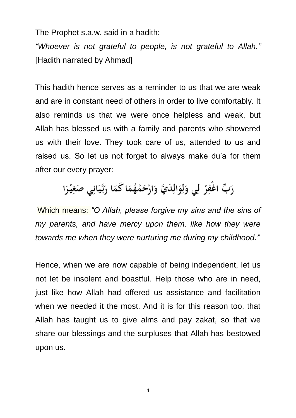The Prophet s.a.w. said in a hadith:

*"Whoever is not grateful to people, is not grateful to Allah."* [Hadith narrated by Ahmad]

This hadith hence serves as a reminder to us that we are weak and are in constant need of others in order to live comfortably. It also reminds us that we were once helpless and weak, but Allah has blessed us with a family and parents who showered us with their love. They took care of us, attended to us and raised us. So let us not forget to always make du'a for them after our every prayer:

## رَبِّ اغْفِرْ لِي وَلِوَالِدَيَّ وَارْحَمْهُمَا كَمَا رَبَّيَانِي صَغِيْرَا

Which means: *"O Allah, please forgive my sins and the sins of my parents, and have mercy upon them, like how they were towards me when they were nurturing me during my childhood."*

Hence, when we are now capable of being independent, let us not let be insolent and boastful. Help those who are in need, just like how Allah had offered us assistance and facilitation when we needed it the most. And it is for this reason too, that Allah has taught us to give alms and pay zakat, so that we share our blessings and the surpluses that Allah has bestowed upon us.

4